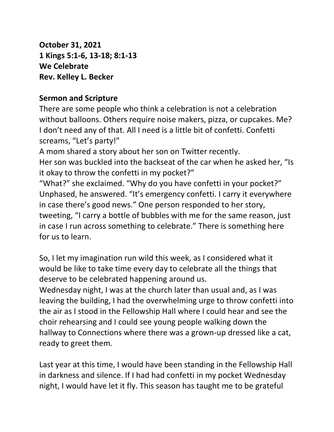**October 31, 2021 1 Kings 5:1-6, 13-18; 8:1-13 We Celebrate Rev. Kelley L. Becker**

## **Sermon and Scripture**

There are some people who think a celebration is not a celebration without balloons. Others require noise makers, pizza, or cupcakes. Me? I don't need any of that. All I need is a little bit of confetti. Confetti screams, "Let's party!"

A mom shared a story about her son on Twitter recently.

Her son was buckled into the backseat of the car when he asked her, "Is it okay to throw the confetti in my pocket?"

"What?" she exclaimed. "Why do you have confetti in your pocket?" Unphased, he answered. "It's emergency confetti. I carry it everywhere in case there's good news." One person responded to her story, tweeting, "I carry a bottle of bubbles with me for the same reason, just in case I run across something to celebrate." There is something here for us to learn.

So, I let my imagination run wild this week, as I considered what it would be like to take time every day to celebrate all the things that deserve to be celebrated happening around us.

Wednesday night, I was at the church later than usual and, as I was leaving the building, I had the overwhelming urge to throw confetti into the air as I stood in the Fellowship Hall where I could hear and see the choir rehearsing and I could see young people walking down the hallway to Connections where there was a grown-up dressed like a cat, ready to greet them.

Last year at this time, I would have been standing in the Fellowship Hall in darkness and silence. If I had had confetti in my pocket Wednesday night, I would have let it fly. This season has taught me to be grateful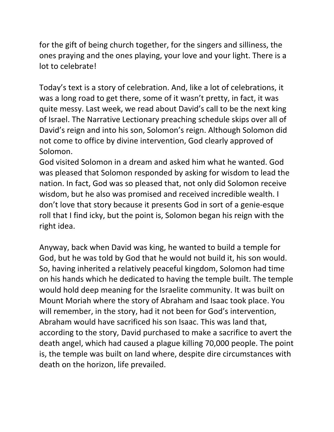for the gift of being church together, for the singers and silliness, the ones praying and the ones playing, your love and your light. There is a lot to celebrate!

Today's text is a story of celebration. And, like a lot of celebrations, it was a long road to get there, some of it wasn't pretty, in fact, it was quite messy. Last week, we read about David's call to be the next king of Israel. The Narrative Lectionary preaching schedule skips over all of David's reign and into his son, Solomon's reign. Although Solomon did not come to office by divine intervention, God clearly approved of Solomon.

God visited Solomon in a dream and asked him what he wanted. God was pleased that Solomon responded by asking for wisdom to lead the nation. In fact, God was so pleased that, not only did Solomon receive wisdom, but he also was promised and received incredible wealth. I don't love that story because it presents God in sort of a genie-esque roll that I find icky, but the point is, Solomon began his reign with the right idea.

Anyway, back when David was king, he wanted to build a temple for God, but he was told by God that he would not build it, his son would. So, having inherited a relatively peaceful kingdom, Solomon had time on his hands which he dedicated to having the temple built. The temple would hold deep meaning for the Israelite community. It was built on Mount Moriah where the story of Abraham and Isaac took place. You will remember, in the story, had it not been for God's intervention, Abraham would have sacrificed his son Isaac. This was land that, according to the story, David purchased to make a sacrifice to avert the death angel, which had caused a plague killing 70,000 people. The point is, the temple was built on land where, despite dire circumstances with death on the horizon, life prevailed.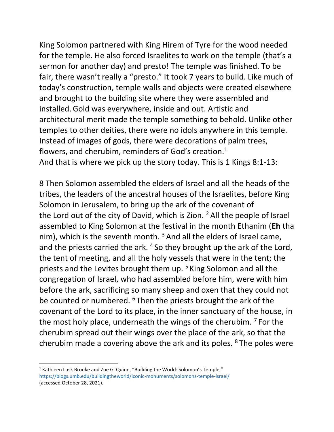King Solomon partnered with King Hirem of Tyre for the wood needed for the temple. He also forced Israelites to work on the temple (that's a sermon for another day) and presto! The temple was finished. To be fair, there wasn't really a "presto." It took 7 years to build. Like much of today's construction, temple walls and objects were created elsewhere and brought to the building site where they were assembled and installed.Gold was everywhere, inside and out. Artistic and architectural merit made the temple something to behold. Unlike other temples to other deities, there were no idols anywhere in this temple. Instead of images of gods, there were decorations of palm trees, flowers, and cherubim, reminders of God's creation.<sup>1</sup> And that is where we pick up the story today. This is 1 Kings 8:1-13:

8 Then Solomon assembled the elders of Israel and all the heads of the tribes, the leaders of the ancestral houses of the Israelites, before King Solomon in Jerusalem, to bring up the ark of the covenant of the Lord out of the city of David, which is Zion. <sup>2</sup> All the people of Israel assembled to King Solomon at the festival in the month Ethanim (**Eh** tha nim), which is the seventh month.  $3$  And all the elders of Israel came, and the priests carried the ark. <sup>4</sup> So they brought up the ark of the Lord, the tent of meeting, and all the holy vessels that were in the tent; the priests and the Levites brought them up. <sup>5</sup> King Solomon and all the congregation of Israel, who had assembled before him, were with him before the ark, sacrificing so many sheep and oxen that they could not be counted or numbered. <sup>6</sup> Then the priests brought the ark of the covenant of the Lord to its place, in the inner sanctuary of the house, in the most holy place, underneath the wings of the cherubim.  $<sup>7</sup>$  For the</sup> cherubim spread out their wings over the place of the ark, so that the cherubim made a covering above the ark and its poles. <sup>8</sup> The poles were

<sup>&</sup>lt;sup>1</sup> Kathleen Lusk Brooke and Zoe G. Quinn, "Building the World: Solomon's Temple," <https://blogs.umb.edu/buildingtheworld/iconic-monuments/solomons-temple-israel/> (accessed October 28, 2021).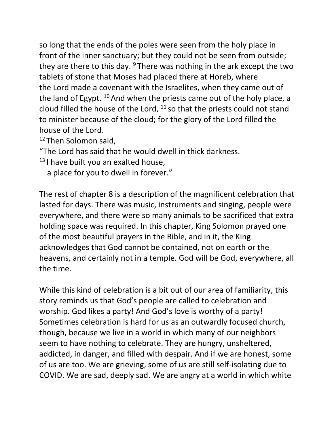so long that the ends of the poles were seen from the holy place in front of the inner sanctuary; but they could not be seen from outside; they are there to this day.  $9$  There was nothing in the ark except the two tablets of stone that Moses had placed there at Horeb, where the Lord made a covenant with the Israelites, when they came out of the land of Egypt.  $10$  And when the priests came out of the holy place, a cloud filled the house of the Lord,  $11$  so that the priests could not stand to minister because of the cloud; for the glory of the Lord filled the house of the Lord.

<sup>12</sup> Then Solomon said.

"The Lord has said that he would dwell in thick darkness.

 $13$  I have built you an exalted house,

a place for you to dwell in forever."

The rest of chapter 8 is a description of the magnificent celebration that lasted for days. There was music, instruments and singing, people were everywhere, and there were so many animals to be sacrificed that extra holding space was required. In this chapter, King Solomon prayed one of the most beautiful prayers in the Bible, and in it, the King acknowledges that God cannot be contained, not on earth or the heavens, and certainly not in a temple. God will be God, everywhere, all the time.

While this kind of celebration is a bit out of our area of familiarity, this story reminds us that God's people are called to celebration and worship. God likes a party! And God's love is worthy of a party! Sometimes celebration is hard for us as an outwardly focused church, though, because we live in a world in which many of our neighbors seem to have nothing to celebrate. They are hungry, unsheltered, addicted, in danger, and filled with despair. And if we are honest, some of us are too. We are grieving, some of us are still self-isolating due to COVID. We are sad, deeply sad. We are angry at a world in which white